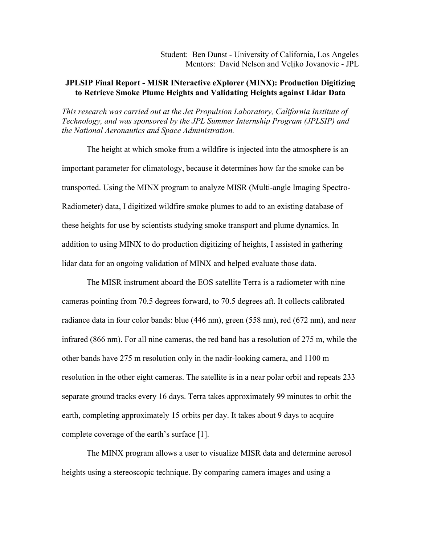Student: Ben Dunst - University of California, Los Angeles Mentors: David Nelson and Veljko Jovanovic - JPL

## **JPLSIP Final Report - MISR INteractive eXplorer (MINX): Production Digitizing to Retrieve Smoke Plume Heights and Validating Heights against Lidar Data**

*This research was carried out at the Jet Propulsion Laboratory, California Institute of Technology, and was sponsored by the JPL Summer Internship Program (JPLSIP) and the National Aeronautics and Space Administration.* 

 The height at which smoke from a wildfire is injected into the atmosphere is an important parameter for climatology, because it determines how far the smoke can be transported. Using the MINX program to analyze MISR (Multi-angle Imaging Spectro-Radiometer) data, I digitized wildfire smoke plumes to add to an existing database of these heights for use by scientists studying smoke transport and plume dynamics. In addition to using MINX to do production digitizing of heights, I assisted in gathering lidar data for an ongoing validation of MINX and helped evaluate those data.

 The MISR instrument aboard the EOS satellite Terra is a radiometer with nine cameras pointing from 70.5 degrees forward, to 70.5 degrees aft. It collects calibrated radiance data in four color bands: blue (446 nm), green (558 nm), red (672 nm), and near infrared (866 nm). For all nine cameras, the red band has a resolution of 275 m, while the other bands have 275 m resolution only in the nadir-looking camera, and 1100 m resolution in the other eight cameras. The satellite is in a near polar orbit and repeats 233 separate ground tracks every 16 days. Terra takes approximately 99 minutes to orbit the earth, completing approximately 15 orbits per day. It takes about 9 days to acquire complete coverage of the earth's surface [1].

 The MINX program allows a user to visualize MISR data and determine aerosol heights using a stereoscopic technique. By comparing camera images and using a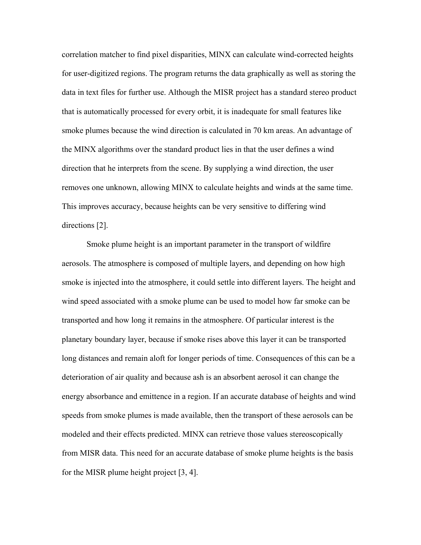correlation matcher to find pixel disparities, MINX can calculate wind-corrected heights for user-digitized regions. The program returns the data graphically as well as storing the data in text files for further use. Although the MISR project has a standard stereo product that is automatically processed for every orbit, it is inadequate for small features like smoke plumes because the wind direction is calculated in 70 km areas. An advantage of the MINX algorithms over the standard product lies in that the user defines a wind direction that he interprets from the scene. By supplying a wind direction, the user removes one unknown, allowing MINX to calculate heights and winds at the same time. This improves accuracy, because heights can be very sensitive to differing wind directions [2].

 Smoke plume height is an important parameter in the transport of wildfire aerosols. The atmosphere is composed of multiple layers, and depending on how high smoke is injected into the atmosphere, it could settle into different layers. The height and wind speed associated with a smoke plume can be used to model how far smoke can be transported and how long it remains in the atmosphere. Of particular interest is the planetary boundary layer, because if smoke rises above this layer it can be transported long distances and remain aloft for longer periods of time. Consequences of this can be a deterioration of air quality and because ash is an absorbent aerosol it can change the energy absorbance and emittence in a region. If an accurate database of heights and wind speeds from smoke plumes is made available, then the transport of these aerosols can be modeled and their effects predicted. MINX can retrieve those values stereoscopically from MISR data. This need for an accurate database of smoke plume heights is the basis for the MISR plume height project [3, 4].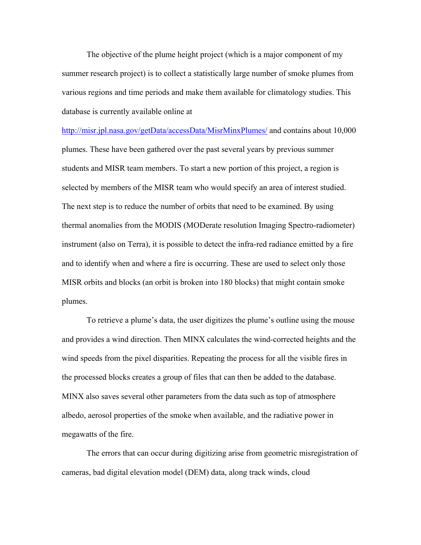The objective of the plume height project (which is a major component of my summer research project) is to collect a statistically large number of smoke plumes from various regions and time periods and make them available for climatology studies. This database is currently available online at

http://misr.jpl.nasa.gov/getData/accessData/MisrMinxPlumes/ and contains about 10,000 plumes. These have been gathered over the past several years by previous summer students and MISR team members. To start a new portion of this project, a region is selected by members of the MISR team who would specify an area of interest studied. The next step is to reduce the number of orbits that need to be examined. By using thermal anomalies from the MODIS (MODerate resolution Imaging Spectro-radiometer) instrument (also on Terra), it is possible to detect the infra-red radiance emitted by a fire and to identify when and where a fire is occurring. These are used to select only those MISR orbits and blocks (an orbit is broken into 180 blocks) that might contain smoke plumes.

To retrieve a plume's data, the user digitizes the plume's outline using the mouse and provides a wind direction. Then MINX calculates the wind-corrected heights and the wind speeds from the pixel disparities. Repeating the process for all the visible fires in the processed blocks creates a group of files that can then be added to the database. MINX also saves several other parameters from the data such as top of atmosphere albedo, aerosol properties of the smoke when available, and the radiative power in megawatts of the fire.

The errors that can occur during digitizing arise from geometric misregistration of cameras, bad digital elevation model (DEM) data, along track winds, cloud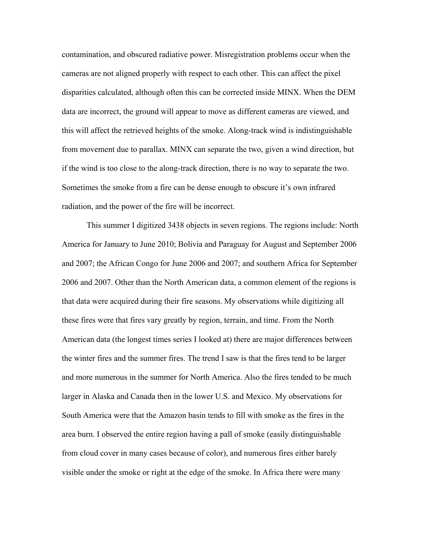contamination, and obscured radiative power. Misregistration problems occur when the cameras are not aligned properly with respect to each other. This can affect the pixel disparities calculated, although often this can be corrected inside MINX. When the DEM data are incorrect, the ground will appear to move as different cameras are viewed, and this will affect the retrieved heights of the smoke. Along-track wind is indistinguishable from movement due to parallax. MINX can separate the two, given a wind direction, but if the wind is too close to the along-track direction, there is no way to separate the two. Sometimes the smoke from a fire can be dense enough to obscure it's own infrared radiation, and the power of the fire will be incorrect.

 This summer I digitized 3438 objects in seven regions. The regions include: North America for January to June 2010; Bolivia and Paraguay for August and September 2006 and 2007; the African Congo for June 2006 and 2007; and southern Africa for September 2006 and 2007. Other than the North American data, a common element of the regions is that data were acquired during their fire seasons. My observations while digitizing all these fires were that fires vary greatly by region, terrain, and time. From the North American data (the longest times series I looked at) there are major differences between the winter fires and the summer fires. The trend I saw is that the fires tend to be larger and more numerous in the summer for North America. Also the fires tended to be much larger in Alaska and Canada then in the lower U.S. and Mexico. My observations for South America were that the Amazon basin tends to fill with smoke as the fires in the area burn. I observed the entire region having a pall of smoke (easily distinguishable from cloud cover in many cases because of color), and numerous fires either barely visible under the smoke or right at the edge of the smoke. In Africa there were many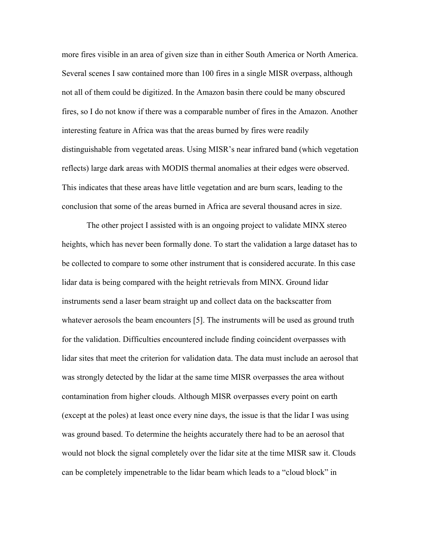more fires visible in an area of given size than in either South America or North America. Several scenes I saw contained more than 100 fires in a single MISR overpass, although not all of them could be digitized. In the Amazon basin there could be many obscured fires, so I do not know if there was a comparable number of fires in the Amazon. Another interesting feature in Africa was that the areas burned by fires were readily distinguishable from vegetated areas. Using MISR's near infrared band (which vegetation reflects) large dark areas with MODIS thermal anomalies at their edges were observed. This indicates that these areas have little vegetation and are burn scars, leading to the conclusion that some of the areas burned in Africa are several thousand acres in size.

 The other project I assisted with is an ongoing project to validate MINX stereo heights, which has never been formally done. To start the validation a large dataset has to be collected to compare to some other instrument that is considered accurate. In this case lidar data is being compared with the height retrievals from MINX. Ground lidar instruments send a laser beam straight up and collect data on the backscatter from whatever aerosols the beam encounters [5]. The instruments will be used as ground truth for the validation. Difficulties encountered include finding coincident overpasses with lidar sites that meet the criterion for validation data. The data must include an aerosol that was strongly detected by the lidar at the same time MISR overpasses the area without contamination from higher clouds. Although MISR overpasses every point on earth (except at the poles) at least once every nine days, the issue is that the lidar I was using was ground based. To determine the heights accurately there had to be an aerosol that would not block the signal completely over the lidar site at the time MISR saw it. Clouds can be completely impenetrable to the lidar beam which leads to a "cloud block" in